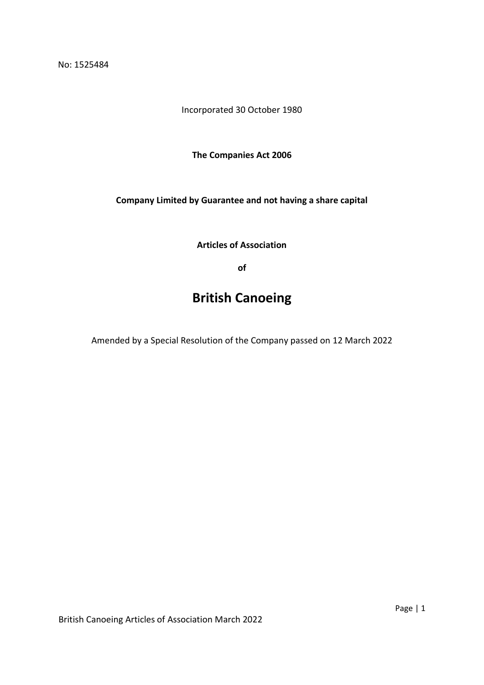No: 1525484

Incorporated 30 October 1980

**The Companies Act 2006**

**Company Limited by Guarantee and not having a share capital**

**Articles of Association**

**of**

# **British Canoeing**

Amended by a Special Resolution of the Company passed on 12 March 2022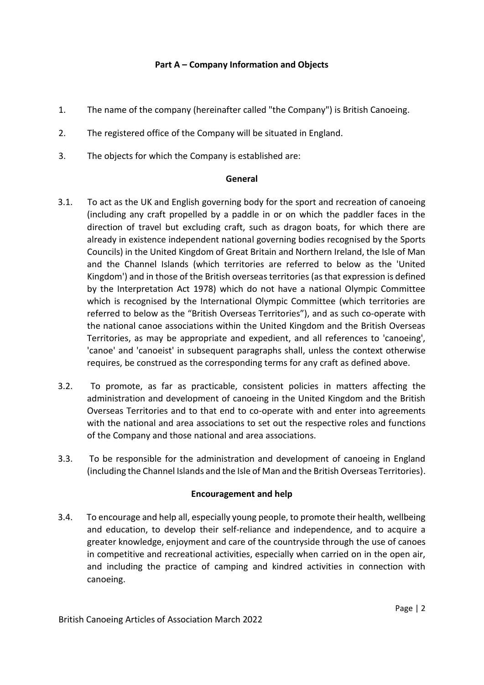# **Part A – Company Information and Objects**

- 1. The name of the company (hereinafter called "the Company") is British Canoeing.
- 2. The registered office of the Company will be situated in England.
- 3. The objects for which the Company is established are:

### **General**

- 3.1. To act as the UK and English governing body for the sport and recreation of canoeing (including any craft propelled by a paddle in or on which the paddler faces in the direction of travel but excluding craft, such as dragon boats, for which there are already in existence independent national governing bodies recognised by the Sports Councils) in the United Kingdom of Great Britain and Northern Ireland, the Isle of Man and the Channel Islands (which territories are referred to below as the 'United Kingdom') and in those of the British overseas territories (as that expression is defined by the Interpretation Act 1978) which do not have a national Olympic Committee which is recognised by the International Olympic Committee (which territories are referred to below as the "British Overseas Territories"), and as such co-operate with the national canoe associations within the United Kingdom and the British Overseas Territories, as may be appropriate and expedient, and all references to 'canoeing', 'canoe' and 'canoeist' in subsequent paragraphs shall, unless the context otherwise requires, be construed as the corresponding terms for any craft as defined above.
- 3.2. To promote, as far as practicable, consistent policies in matters affecting the administration and development of canoeing in the United Kingdom and the British Overseas Territories and to that end to co-operate with and enter into agreements with the national and area associations to set out the respective roles and functions of the Company and those national and area associations.
- 3.3. To be responsible for the administration and development of canoeing in England (including the Channel Islands and the Isle of Man and the British Overseas Territories).

# **Encouragement and help**

3.4. To encourage and help all, especially young people, to promote their health, wellbeing and education, to develop their self-reliance and independence, and to acquire a greater knowledge, enjoyment and care of the countryside through the use of canoes in competitive and recreational activities, especially when carried on in the open air, and including the practice of camping and kindred activities in connection with canoeing.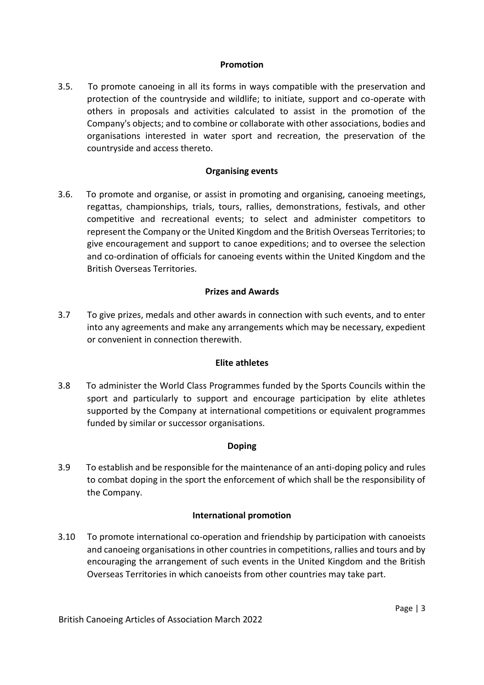### **Promotion**

3.5. To promote canoeing in all its forms in ways compatible with the preservation and protection of the countryside and wildlife; to initiate, support and co-operate with others in proposals and activities calculated to assist in the promotion of the Company's objects; and to combine or collaborate with other associations, bodies and organisations interested in water sport and recreation, the preservation of the countryside and access thereto.

### **Organising events**

3.6. To promote and organise, or assist in promoting and organising, canoeing meetings, regattas, championships, trials, tours, rallies, demonstrations, festivals, and other competitive and recreational events; to select and administer competitors to represent the Company or the United Kingdom and the British Overseas Territories; to give encouragement and support to canoe expeditions; and to oversee the selection and co-ordination of officials for canoeing events within the United Kingdom and the British Overseas Territories.

# **Prizes and Awards**

3.7 To give prizes, medals and other awards in connection with such events, and to enter into any agreements and make any arrangements which may be necessary, expedient or convenient in connection therewith.

# **Elite athletes**

3.8 To administer the World Class Programmes funded by the Sports Councils within the sport and particularly to support and encourage participation by elite athletes supported by the Company at international competitions or equivalent programmes funded by similar or successor organisations.

# **Doping**

3.9 To establish and be responsible for the maintenance of an anti-doping policy and rules to combat doping in the sport the enforcement of which shall be the responsibility of the Company.

### **International promotion**

3.10 To promote international co-operation and friendship by participation with canoeists and canoeing organisations in other countries in competitions, rallies and tours and by encouraging the arrangement of such events in the United Kingdom and the British Overseas Territories in which canoeists from other countries may take part.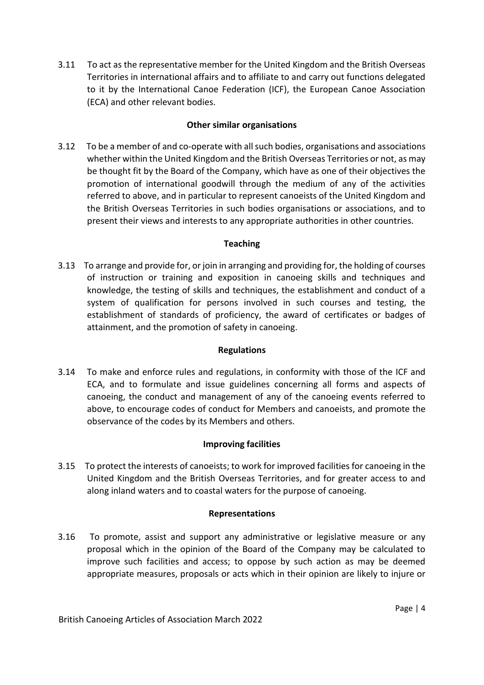3.11 To act as the representative member for the United Kingdom and the British Overseas Territories in international affairs and to affiliate to and carry out functions delegated to it by the International Canoe Federation (ICF), the European Canoe Association (ECA) and other relevant bodies.

# **Other similar organisations**

3.12 To be a member of and co-operate with all such bodies, organisations and associations whether within the United Kingdom and the British Overseas Territories or not, as may be thought fit by the Board of the Company, which have as one of their objectives the promotion of international goodwill through the medium of any of the activities referred to above, and in particular to represent canoeists of the United Kingdom and the British Overseas Territories in such bodies organisations or associations, and to present their views and interests to any appropriate authorities in other countries.

# **Teaching**

3.13 To arrange and provide for, or join in arranging and providing for, the holding of courses of instruction or training and exposition in canoeing skills and techniques and knowledge, the testing of skills and techniques, the establishment and conduct of a system of qualification for persons involved in such courses and testing, the establishment of standards of proficiency, the award of certificates or badges of attainment, and the promotion of safety in canoeing.

# **Regulations**

3.14 To make and enforce rules and regulations, in conformity with those of the ICF and ECA, and to formulate and issue guidelines concerning all forms and aspects of canoeing, the conduct and management of any of the canoeing events referred to above, to encourage codes of conduct for Members and canoeists, and promote the observance of the codes by its Members and others.

# **Improving facilities**

3.15 To protect the interests of canoeists; to work for improved facilities for canoeing in the United Kingdom and the British Overseas Territories, and for greater access to and along inland waters and to coastal waters for the purpose of canoeing.

# **Representations**

3.16 To promote, assist and support any administrative or legislative measure or any proposal which in the opinion of the Board of the Company may be calculated to improve such facilities and access; to oppose by such action as may be deemed appropriate measures, proposals or acts which in their opinion are likely to injure or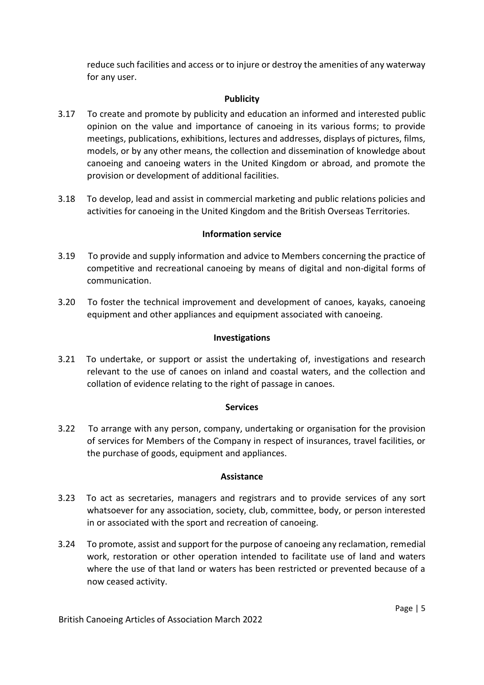reduce such facilities and access or to injure or destroy the amenities of any waterway for any user.

# **Publicity**

- 3.17 To create and promote by publicity and education an informed and interested public opinion on the value and importance of canoeing in its various forms; to provide meetings, publications, exhibitions, lectures and addresses, displays of pictures, films, models, or by any other means, the collection and dissemination of knowledge about canoeing and canoeing waters in the United Kingdom or abroad, and promote the provision or development of additional facilities.
- 3.18 To develop, lead and assist in commercial marketing and public relations policies and activities for canoeing in the United Kingdom and the British Overseas Territories.

### **Information service**

- 3.19 To provide and supply information and advice to Members concerning the practice of competitive and recreational canoeing by means of digital and non-digital forms of communication.
- 3.20 To foster the technical improvement and development of canoes, kayaks, canoeing equipment and other appliances and equipment associated with canoeing.

### **Investigations**

3.21 To undertake, or support or assist the undertaking of, investigations and research relevant to the use of canoes on inland and coastal waters, and the collection and collation of evidence relating to the right of passage in canoes.

### **Services**

3.22 To arrange with any person, company, undertaking or organisation for the provision of services for Members of the Company in respect of insurances, travel facilities, or the purchase of goods, equipment and appliances.

### **Assistance**

- 3.23 To act as secretaries, managers and registrars and to provide services of any sort whatsoever for any association, society, club, committee, body, or person interested in or associated with the sport and recreation of canoeing.
- 3.24 To promote, assist and support for the purpose of canoeing any reclamation, remedial work, restoration or other operation intended to facilitate use of land and waters where the use of that land or waters has been restricted or prevented because of a now ceased activity.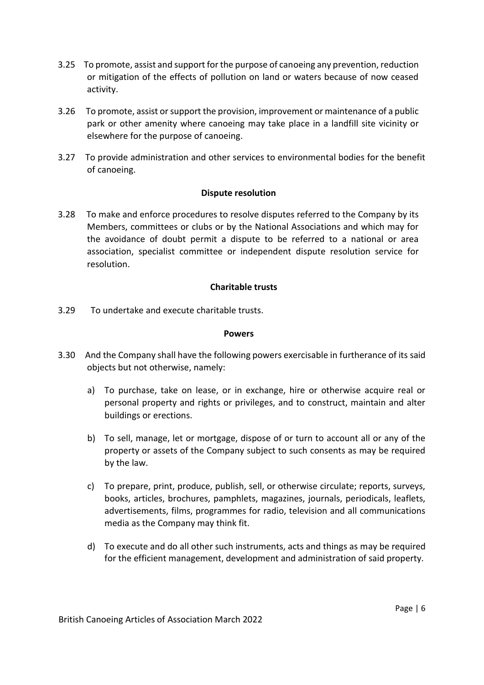- 3.25 To promote, assist and support for the purpose of canoeing any prevention, reduction or mitigation of the effects of pollution on land or waters because of now ceased activity.
- 3.26 To promote, assist or support the provision, improvement or maintenance of a public park or other amenity where canoeing may take place in a landfill site vicinity or elsewhere for the purpose of canoeing.
- 3.27 To provide administration and other services to environmental bodies for the benefit of canoeing.

### **Dispute resolution**

3.28 To make and enforce procedures to resolve disputes referred to the Company by its Members, committees or clubs or by the National Associations and which may for the avoidance of doubt permit a dispute to be referred to a national or area association, specialist committee or independent dispute resolution service for resolution.

### **Charitable trusts**

3.29 To undertake and execute charitable trusts.

### **Powers**

- 3.30 And the Company shall have the following powers exercisable in furtherance of its said objects but not otherwise, namely:
	- a) To purchase, take on lease, or in exchange, hire or otherwise acquire real or personal property and rights or privileges, and to construct, maintain and alter buildings or erections.
	- b) To sell, manage, let or mortgage, dispose of or turn to account all or any of the property or assets of the Company subject to such consents as may be required by the law.
	- c) To prepare, print, produce, publish, sell, or otherwise circulate; reports, surveys, books, articles, brochures, pamphlets, magazines, journals, periodicals, leaflets, advertisements, films, programmes for radio, television and all communications media as the Company may think fit.
	- d) To execute and do all other such instruments, acts and things as may be required for the efficient management, development and administration of said property.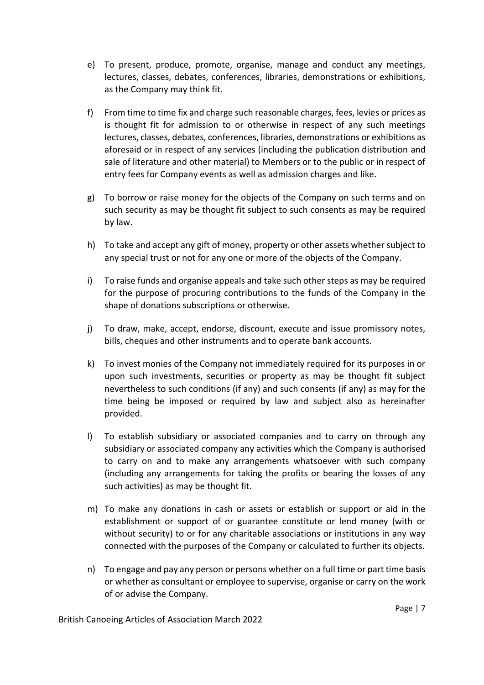- e) To present, produce, promote, organise, manage and conduct any meetings, lectures, classes, debates, conferences, libraries, demonstrations or exhibitions, as the Company may think fit.
- f) From time to time fix and charge such reasonable charges, fees, levies or prices as is thought fit for admission to or otherwise in respect of any such meetings lectures, classes, debates, conferences, libraries, demonstrations or exhibitions as aforesaid or in respect of any services (including the publication distribution and sale of literature and other material) to Members or to the public or in respect of entry fees for Company events as well as admission charges and like.
- g) To borrow or raise money for the objects of the Company on such terms and on such security as may be thought fit subject to such consents as may be required by law.
- h) To take and accept any gift of money, property or other assets whether subject to any special trust or not for any one or more of the objects of the Company.
- i) To raise funds and organise appeals and take such other steps as may be required for the purpose of procuring contributions to the funds of the Company in the shape of donations subscriptions or otherwise.
- j) To draw, make, accept, endorse, discount, execute and issue promissory notes, bills, cheques and other instruments and to operate bank accounts.
- k) To invest monies of the Company not immediately required for its purposes in or upon such investments, securities or property as may be thought fit subject nevertheless to such conditions (if any) and such consents (if any) as may for the time being be imposed or required by law and subject also as hereinafter provided.
- l) To establish subsidiary or associated companies and to carry on through any subsidiary or associated company any activities which the Company is authorised to carry on and to make any arrangements whatsoever with such company (including any arrangements for taking the profits or bearing the losses of any such activities) as may be thought fit.
- m) To make any donations in cash or assets or establish or support or aid in the establishment or support of or guarantee constitute or lend money (with or without security) to or for any charitable associations or institutions in any way connected with the purposes of the Company or calculated to further its objects.
- n) To engage and pay any person or persons whether on a full time or part time basis or whether as consultant or employee to supervise, organise or carry on the work of or advise the Company.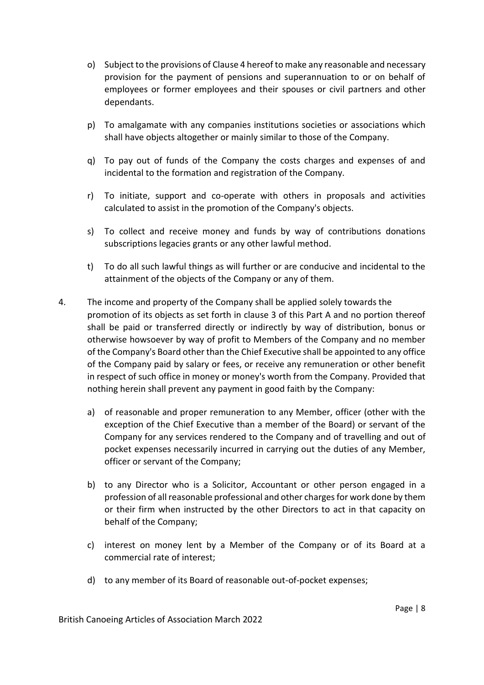- o) Subject to the provisions of Clause 4 hereof to make any reasonable and necessary provision for the payment of pensions and superannuation to or on behalf of employees or former employees and their spouses or civil partners and other dependants.
- p) To amalgamate with any companies institutions societies or associations which shall have objects altogether or mainly similar to those of the Company.
- q) To pay out of funds of the Company the costs charges and expenses of and incidental to the formation and registration of the Company.
- r) To initiate, support and co-operate with others in proposals and activities calculated to assist in the promotion of the Company's objects.
- s) To collect and receive money and funds by way of contributions donations subscriptions legacies grants or any other lawful method.
- t) To do all such lawful things as will further or are conducive and incidental to the attainment of the objects of the Company or any of them.
- 4. The income and property of the Company shall be applied solely towards the promotion of its objects as set forth in clause 3 of this Part A and no portion thereof shall be paid or transferred directly or indirectly by way of distribution, bonus or otherwise howsoever by way of profit to Members of the Company and no member of the Company's Board other than the Chief Executive shall be appointed to any office of the Company paid by salary or fees, or receive any remuneration or other benefit in respect of such office in money or money's worth from the Company. Provided that nothing herein shall prevent any payment in good faith by the Company:
	- a) of reasonable and proper remuneration to any Member, officer (other with the exception of the Chief Executive than a member of the Board) or servant of the Company for any services rendered to the Company and of travelling and out of pocket expenses necessarily incurred in carrying out the duties of any Member, officer or servant of the Company;
	- b) to any Director who is a Solicitor, Accountant or other person engaged in a profession of all reasonable professional and other charges for work done by them or their firm when instructed by the other Directors to act in that capacity on behalf of the Company;
	- c) interest on money lent by a Member of the Company or of its Board at a commercial rate of interest;
	- d) to any member of its Board of reasonable out-of-pocket expenses;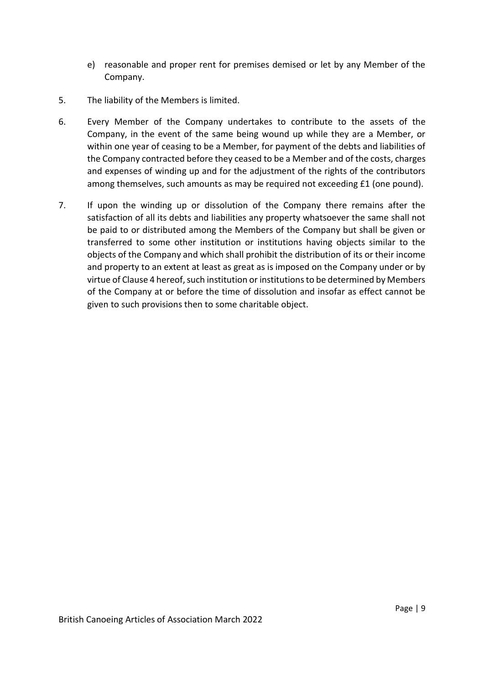- e) reasonable and proper rent for premises demised or let by any Member of the Company.
- 5. The liability of the Members is limited.
- 6. Every Member of the Company undertakes to contribute to the assets of the Company, in the event of the same being wound up while they are a Member, or within one year of ceasing to be a Member, for payment of the debts and liabilities of the Company contracted before they ceased to be a Member and of the costs, charges and expenses of winding up and for the adjustment of the rights of the contributors among themselves, such amounts as may be required not exceeding £1 (one pound).
- 7. If upon the winding up or dissolution of the Company there remains after the satisfaction of all its debts and liabilities any property whatsoever the same shall not be paid to or distributed among the Members of the Company but shall be given or transferred to some other institution or institutions having objects similar to the objects of the Company and which shall prohibit the distribution of its or their income and property to an extent at least as great as is imposed on the Company under or by virtue of Clause 4 hereof, such institution or institutions to be determined by Members of the Company at or before the time of dissolution and insofar as effect cannot be given to such provisions then to some charitable object.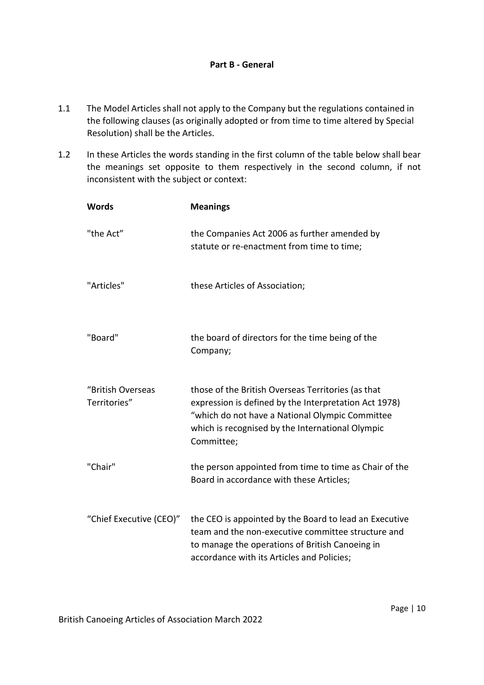- 1.1 The Model Articles shall not apply to the Company but the regulations contained in the following clauses (as originally adopted or from time to time altered by Special Resolution) shall be the Articles.
- 1.2 In these Articles the words standing in the first column of the table below shall bear the meanings set opposite to them respectively in the second column, if not inconsistent with the subject or context:

| <b>Words</b>                      | <b>Meanings</b>                                                                                                                                                                                                                  |
|-----------------------------------|----------------------------------------------------------------------------------------------------------------------------------------------------------------------------------------------------------------------------------|
| "the Act"                         | the Companies Act 2006 as further amended by<br>statute or re-enactment from time to time;                                                                                                                                       |
| "Articles"                        | these Articles of Association;                                                                                                                                                                                                   |
| "Board"                           | the board of directors for the time being of the<br>Company;                                                                                                                                                                     |
| "British Overseas<br>Territories" | those of the British Overseas Territories (as that<br>expression is defined by the Interpretation Act 1978)<br>"which do not have a National Olympic Committee<br>which is recognised by the International Olympic<br>Committee; |
| "Chair"                           | the person appointed from time to time as Chair of the<br>Board in accordance with these Articles;                                                                                                                               |
| "Chief Executive (CEO)"           | the CEO is appointed by the Board to lead an Executive<br>team and the non-executive committee structure and<br>to manage the operations of British Canoeing in<br>accordance with its Articles and Policies;                    |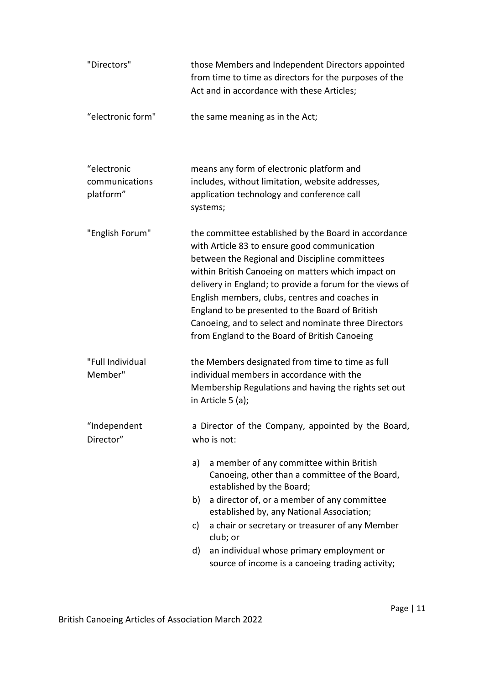| "Directors"               | those Members and Independent Directors appointed<br>from time to time as directors for the purposes of the<br>Act and in accordance with these Articles;                                                                                                                                                                                                                                                                                                                              |  |  |
|---------------------------|----------------------------------------------------------------------------------------------------------------------------------------------------------------------------------------------------------------------------------------------------------------------------------------------------------------------------------------------------------------------------------------------------------------------------------------------------------------------------------------|--|--|
| "electronic form"         | the same meaning as in the Act;                                                                                                                                                                                                                                                                                                                                                                                                                                                        |  |  |
| "electronic               | means any form of electronic platform and                                                                                                                                                                                                                                                                                                                                                                                                                                              |  |  |
| communications            | includes, without limitation, website addresses,                                                                                                                                                                                                                                                                                                                                                                                                                                       |  |  |
| platform"                 | application technology and conference call<br>systems;                                                                                                                                                                                                                                                                                                                                                                                                                                 |  |  |
| "English Forum"           | the committee established by the Board in accordance<br>with Article 83 to ensure good communication<br>between the Regional and Discipline committees<br>within British Canoeing on matters which impact on<br>delivery in England; to provide a forum for the views of<br>English members, clubs, centres and coaches in<br>England to be presented to the Board of British<br>Canoeing, and to select and nominate three Directors<br>from England to the Board of British Canoeing |  |  |
| "Full Individual          | the Members designated from time to time as full                                                                                                                                                                                                                                                                                                                                                                                                                                       |  |  |
| Member"                   | individual members in accordance with the                                                                                                                                                                                                                                                                                                                                                                                                                                              |  |  |
|                           | Membership Regulations and having the rights set out<br>in Article 5 (a);                                                                                                                                                                                                                                                                                                                                                                                                              |  |  |
| "Independent<br>Director" | a Director of the Company, appointed by the Board,<br>who is not:                                                                                                                                                                                                                                                                                                                                                                                                                      |  |  |
|                           | a member of any committee within British<br>a)<br>Canoeing, other than a committee of the Board,<br>established by the Board;                                                                                                                                                                                                                                                                                                                                                          |  |  |
|                           | a director of, or a member of any committee<br>b)<br>established by, any National Association;                                                                                                                                                                                                                                                                                                                                                                                         |  |  |
|                           | a chair or secretary or treasurer of any Member<br>c)<br>club; or                                                                                                                                                                                                                                                                                                                                                                                                                      |  |  |
|                           | an individual whose primary employment or<br>d)                                                                                                                                                                                                                                                                                                                                                                                                                                        |  |  |
|                           | source of income is a canoeing trading activity;                                                                                                                                                                                                                                                                                                                                                                                                                                       |  |  |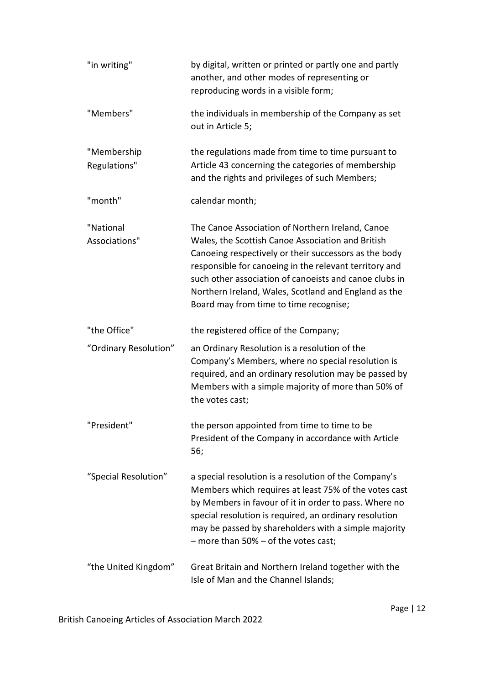| "in writing"                | by digital, written or printed or partly one and partly<br>another, and other modes of representing or<br>reproducing words in a visible form;                                                                                                                                                                                                                                       |
|-----------------------------|--------------------------------------------------------------------------------------------------------------------------------------------------------------------------------------------------------------------------------------------------------------------------------------------------------------------------------------------------------------------------------------|
| "Members"                   | the individuals in membership of the Company as set<br>out in Article 5;                                                                                                                                                                                                                                                                                                             |
| "Membership<br>Regulations" | the regulations made from time to time pursuant to<br>Article 43 concerning the categories of membership<br>and the rights and privileges of such Members;                                                                                                                                                                                                                           |
| "month"                     | calendar month;                                                                                                                                                                                                                                                                                                                                                                      |
| "National<br>Associations"  | The Canoe Association of Northern Ireland, Canoe<br>Wales, the Scottish Canoe Association and British<br>Canoeing respectively or their successors as the body<br>responsible for canoeing in the relevant territory and<br>such other association of canoeists and canoe clubs in<br>Northern Ireland, Wales, Scotland and England as the<br>Board may from time to time recognise; |
| "the Office"                | the registered office of the Company;                                                                                                                                                                                                                                                                                                                                                |
| "Ordinary Resolution"       | an Ordinary Resolution is a resolution of the<br>Company's Members, where no special resolution is<br>required, and an ordinary resolution may be passed by<br>Members with a simple majority of more than 50% of<br>the votes cast;                                                                                                                                                 |
| "President"                 | the person appointed from time to time to be<br>President of the Company in accordance with Article<br>56;                                                                                                                                                                                                                                                                           |
| "Special Resolution"        | a special resolution is a resolution of the Company's<br>Members which requires at least 75% of the votes cast<br>by Members in favour of it in order to pass. Where no<br>special resolution is required, an ordinary resolution<br>may be passed by shareholders with a simple majority<br>$-$ more than 50% $-$ of the votes cast;                                                |
| "the United Kingdom"        | Great Britain and Northern Ireland together with the<br>Isle of Man and the Channel Islands;                                                                                                                                                                                                                                                                                         |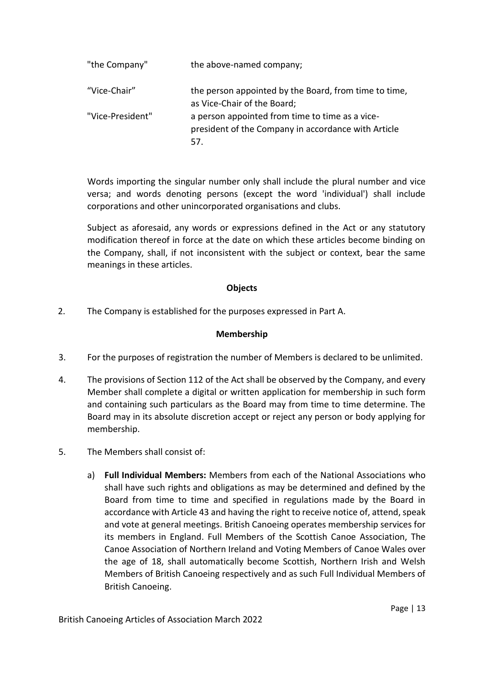| "the Company"    | the above-named company;                                                                                      |
|------------------|---------------------------------------------------------------------------------------------------------------|
| "Vice-Chair"     | the person appointed by the Board, from time to time,<br>as Vice-Chair of the Board;                          |
| "Vice-President" | a person appointed from time to time as a vice-<br>president of the Company in accordance with Article<br>57. |

Words importing the singular number only shall include the plural number and vice versa; and words denoting persons (except the word 'individual') shall include corporations and other unincorporated organisations and clubs.

Subject as aforesaid, any words or expressions defined in the Act or any statutory modification thereof in force at the date on which these articles become binding on the Company, shall, if not inconsistent with the subject or context, bear the same meanings in these articles.

### **Objects**

2. The Company is established for the purposes expressed in Part A.

# **Membership**

- 3. For the purposes of registration the number of Members is declared to be unlimited.
- 4. The provisions of Section 112 of the Act shall be observed by the Company, and every Member shall complete a digital or written application for membership in such form and containing such particulars as the Board may from time to time determine. The Board may in its absolute discretion accept or reject any person or body applying for membership.
- 5. The Members shall consist of:
	- a) **Full Individual Members:** Members from each of the National Associations who shall have such rights and obligations as may be determined and defined by the Board from time to time and specified in regulations made by the Board in accordance with Article 43 and having the right to receive notice of, attend, speak and vote at general meetings. British Canoeing operates membership services for its members in England. Full Members of the Scottish Canoe Association, The Canoe Association of Northern Ireland and Voting Members of Canoe Wales over the age of 18, shall automatically become Scottish, Northern Irish and Welsh Members of British Canoeing respectively and as such Full Individual Members of British Canoeing.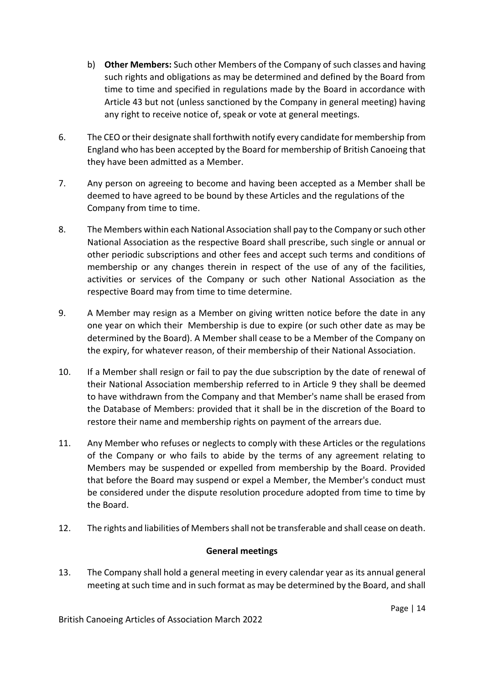- b) **Other Members:** Such other Members of the Company of such classes and having such rights and obligations as may be determined and defined by the Board from time to time and specified in regulations made by the Board in accordance with Article 43 but not (unless sanctioned by the Company in general meeting) having any right to receive notice of, speak or vote at general meetings.
- 6. The CEO or their designate shall forthwith notify every candidate for membership from England who has been accepted by the Board for membership of British Canoeing that they have been admitted as a Member.
- 7. Any person on agreeing to become and having been accepted as a Member shall be deemed to have agreed to be bound by these Articles and the regulations of the Company from time to time.
- 8. The Members within each National Association shall pay to the Company or such other National Association as the respective Board shall prescribe, such single or annual or other periodic subscriptions and other fees and accept such terms and conditions of membership or any changes therein in respect of the use of any of the facilities, activities or services of the Company or such other National Association as the respective Board may from time to time determine.
- 9. A Member may resign as a Member on giving written notice before the date in any one year on which their Membership is due to expire (or such other date as may be determined by the Board). A Member shall cease to be a Member of the Company on the expiry, for whatever reason, of their membership of their National Association.
- 10. If a Member shall resign or fail to pay the due subscription by the date of renewal of their National Association membership referred to in Article 9 they shall be deemed to have withdrawn from the Company and that Member's name shall be erased from the Database of Members: provided that it shall be in the discretion of the Board to restore their name and membership rights on payment of the arrears due.
- 11. Any Member who refuses or neglects to comply with these Articles or the regulations of the Company or who fails to abide by the terms of any agreement relating to Members may be suspended or expelled from membership by the Board. Provided that before the Board may suspend or expel a Member, the Member's conduct must be considered under the dispute resolution procedure adopted from time to time by the Board.
- 12. The rights and liabilities of Members shall not be transferable and shall cease on death.

# **General meetings**

13. The Company shall hold a general meeting in every calendar year as its annual general meeting at such time and in such format as may be determined by the Board, and shall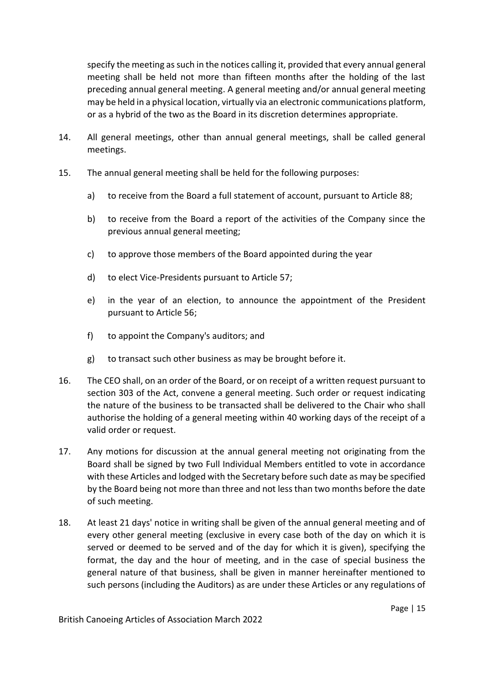specify the meeting as such in the notices calling it, provided that every annual general meeting shall be held not more than fifteen months after the holding of the last preceding annual general meeting. A general meeting and/or annual general meeting may be held in a physical location, virtually via an electronic communications platform, or as a hybrid of the two as the Board in its discretion determines appropriate.

- 14. All general meetings, other than annual general meetings, shall be called general meetings.
- 15. The annual general meeting shall be held for the following purposes:
	- a) to receive from the Board a full statement of account, pursuant to Article 88;
	- b) to receive from the Board a report of the activities of the Company since the previous annual general meeting;
	- c) to approve those members of the Board appointed during the year
	- d) to elect Vice-Presidents pursuant to Article 57;
	- e) in the year of an election, to announce the appointment of the President pursuant to Article 56;
	- f) to appoint the Company's auditors; and
	- g) to transact such other business as may be brought before it.
- 16. The CEO shall, on an order of the Board, or on receipt of a written request pursuant to section 303 of the Act, convene a general meeting. Such order or request indicating the nature of the business to be transacted shall be delivered to the Chair who shall authorise the holding of a general meeting within 40 working days of the receipt of a valid order or request.
- 17. Any motions for discussion at the annual general meeting not originating from the Board shall be signed by two Full Individual Members entitled to vote in accordance with these Articles and lodged with the Secretary before such date as may be specified by the Board being not more than three and not less than two months before the date of such meeting.
- 18. At least 21 days' notice in writing shall be given of the annual general meeting and of every other general meeting (exclusive in every case both of the day on which it is served or deemed to be served and of the day for which it is given), specifying the format, the day and the hour of meeting, and in the case of special business the general nature of that business, shall be given in manner hereinafter mentioned to such persons (including the Auditors) as are under these Articles or any regulations of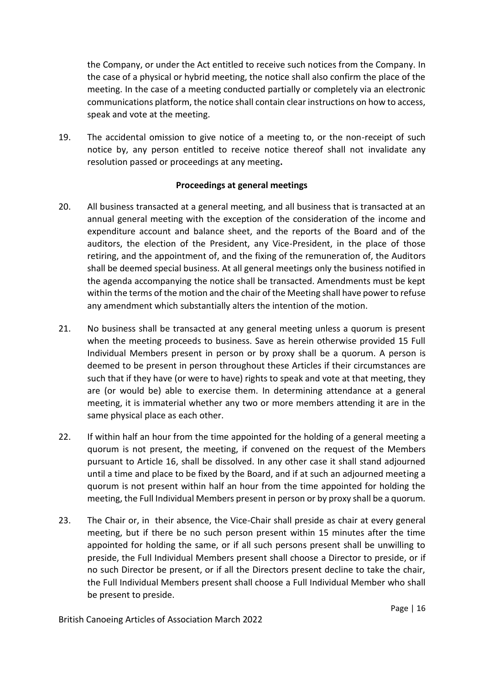the Company, or under the Act entitled to receive such notices from the Company. In the case of a physical or hybrid meeting, the notice shall also confirm the place of the meeting. In the case of a meeting conducted partially or completely via an electronic communications platform, the notice shall contain clear instructions on how to access, speak and vote at the meeting.

19. The accidental omission to give notice of a meeting to, or the non-receipt of such notice by, any person entitled to receive notice thereof shall not invalidate any resolution passed or proceedings at any meeting**.**

### **Proceedings at general meetings**

- 20. All business transacted at a general meeting, and all business that is transacted at an annual general meeting with the exception of the consideration of the income and expenditure account and balance sheet, and the reports of the Board and of the auditors, the election of the President, any Vice-President, in the place of those retiring, and the appointment of, and the fixing of the remuneration of, the Auditors shall be deemed special business. At all general meetings only the business notified in the agenda accompanying the notice shall be transacted. Amendments must be kept within the terms of the motion and the chair of the Meeting shall have power to refuse any amendment which substantially alters the intention of the motion.
- 21. No business shall be transacted at any general meeting unless a quorum is present when the meeting proceeds to business. Save as herein otherwise provided 15 Full Individual Members present in person or by proxy shall be a quorum. A person is deemed to be present in person throughout these Articles if their circumstances are such that if they have (or were to have) rights to speak and vote at that meeting, they are (or would be) able to exercise them. In determining attendance at a general meeting, it is immaterial whether any two or more members attending it are in the same physical place as each other.
- 22. If within half an hour from the time appointed for the holding of a general meeting a quorum is not present, the meeting, if convened on the request of the Members pursuant to Article 16, shall be dissolved. In any other case it shall stand adjourned until a time and place to be fixed by the Board, and if at such an adjourned meeting a quorum is not present within half an hour from the time appointed for holding the meeting, the Full Individual Members present in person or by proxy shall be a quorum.
- 23. The Chair or, in their absence, the Vice-Chair shall preside as chair at every general meeting, but if there be no such person present within 15 minutes after the time appointed for holding the same, or if all such persons present shall be unwilling to preside, the Full Individual Members present shall choose a Director to preside, or if no such Director be present, or if all the Directors present decline to take the chair, the Full Individual Members present shall choose a Full Individual Member who shall be present to preside.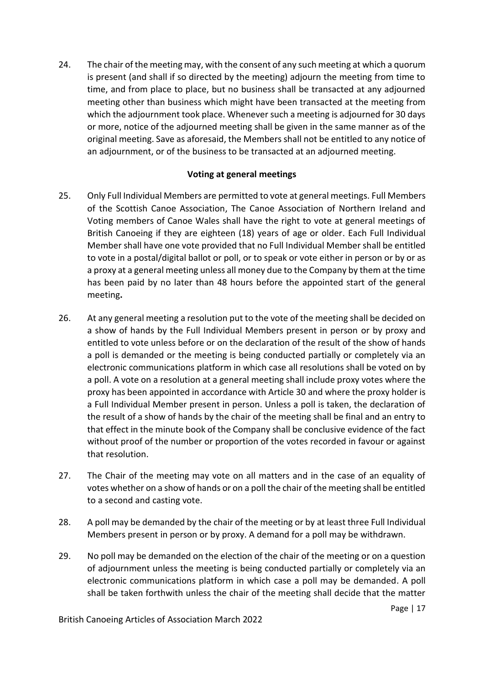24. The chair of the meeting may, with the consent of any such meeting at which a quorum is present (and shall if so directed by the meeting) adjourn the meeting from time to time, and from place to place, but no business shall be transacted at any adjourned meeting other than business which might have been transacted at the meeting from which the adjournment took place. Whenever such a meeting is adjourned for 30 days or more, notice of the adjourned meeting shall be given in the same manner as of the original meeting. Save as aforesaid, the Members shall not be entitled to any notice of an adjournment, or of the business to be transacted at an adjourned meeting.

### **Voting at general meetings**

- 25. Only Full Individual Members are permitted to vote at general meetings. Full Members of the Scottish Canoe Association, The Canoe Association of Northern Ireland and Voting members of Canoe Wales shall have the right to vote at general meetings of British Canoeing if they are eighteen (18) years of age or older. Each Full Individual Member shall have one vote provided that no Full Individual Member shall be entitled to vote in a postal/digital ballot or poll, or to speak or vote either in person or by or as a proxy at a general meeting unless all money due to the Company by them at the time has been paid by no later than 48 hours before the appointed start of the general meeting**.**
- 26. At any general meeting a resolution put to the vote of the meeting shall be decided on a show of hands by the Full Individual Members present in person or by proxy and entitled to vote unless before or on the declaration of the result of the show of hands a poll is demanded or the meeting is being conducted partially or completely via an electronic communications platform in which case all resolutions shall be voted on by a poll. A vote on a resolution at a general meeting shall include proxy votes where the proxy has been appointed in accordance with Article 30 and where the proxy holder is a Full Individual Member present in person. Unless a poll is taken, the declaration of the result of a show of hands by the chair of the meeting shall be final and an entry to that effect in the minute book of the Company shall be conclusive evidence of the fact without proof of the number or proportion of the votes recorded in favour or against that resolution.
- 27. The Chair of the meeting may vote on all matters and in the case of an equality of votes whether on a show of hands or on a poll the chair of the meeting shall be entitled to a second and casting vote.
- 28. A poll may be demanded by the chair of the meeting or by at least three Full Individual Members present in person or by proxy. A demand for a poll may be withdrawn.
- 29. No poll may be demanded on the election of the chair of the meeting or on a question of adjournment unless the meeting is being conducted partially or completely via an electronic communications platform in which case a poll may be demanded. A poll shall be taken forthwith unless the chair of the meeting shall decide that the matter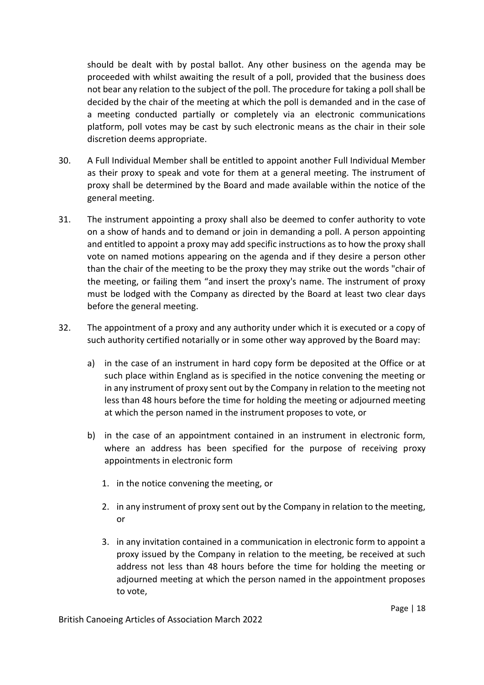should be dealt with by postal ballot. Any other business on the agenda may be proceeded with whilst awaiting the result of a poll, provided that the business does not bear any relation to the subject of the poll. The procedure for taking a poll shall be decided by the chair of the meeting at which the poll is demanded and in the case of a meeting conducted partially or completely via an electronic communications platform, poll votes may be cast by such electronic means as the chair in their sole discretion deems appropriate.

- 30. A Full Individual Member shall be entitled to appoint another Full Individual Member as their proxy to speak and vote for them at a general meeting. The instrument of proxy shall be determined by the Board and made available within the notice of the general meeting.
- 31. The instrument appointing a proxy shall also be deemed to confer authority to vote on a show of hands and to demand or join in demanding a poll. A person appointing and entitled to appoint a proxy may add specific instructions as to how the proxy shall vote on named motions appearing on the agenda and if they desire a person other than the chair of the meeting to be the proxy they may strike out the words "chair of the meeting, or failing them "and insert the proxy's name. The instrument of proxy must be lodged with the Company as directed by the Board at least two clear days before the general meeting.
- 32. The appointment of a proxy and any authority under which it is executed or a copy of such authority certified notarially or in some other way approved by the Board may:
	- a) in the case of an instrument in hard copy form be deposited at the Office or at such place within England as is specified in the notice convening the meeting or in any instrument of proxy sent out by the Company in relation to the meeting not less than 48 hours before the time for holding the meeting or adjourned meeting at which the person named in the instrument proposes to vote, or
	- b) in the case of an appointment contained in an instrument in electronic form, where an address has been specified for the purpose of receiving proxy appointments in electronic form
		- 1. in the notice convening the meeting, or
		- 2. in any instrument of proxy sent out by the Company in relation to the meeting, or
		- 3. in any invitation contained in a communication in electronic form to appoint a proxy issued by the Company in relation to the meeting, be received at such address not less than 48 hours before the time for holding the meeting or adjourned meeting at which the person named in the appointment proposes to vote,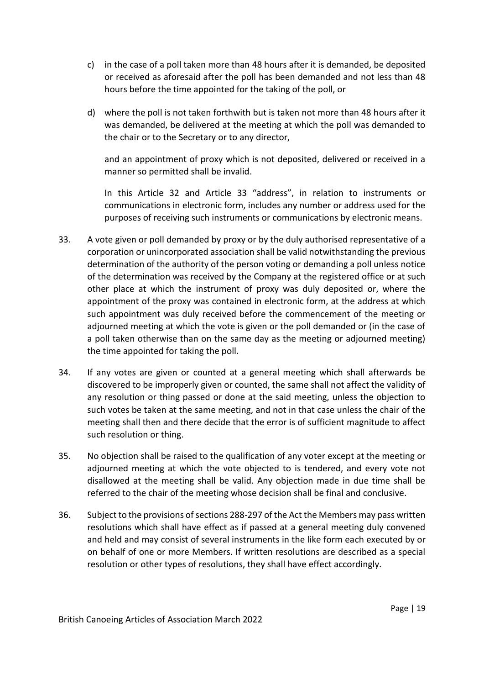- c) in the case of a poll taken more than 48 hours after it is demanded, be deposited or received as aforesaid after the poll has been demanded and not less than 48 hours before the time appointed for the taking of the poll, or
- d) where the poll is not taken forthwith but is taken not more than 48 hours after it was demanded, be delivered at the meeting at which the poll was demanded to the chair or to the Secretary or to any director,

and an appointment of proxy which is not deposited, delivered or received in a manner so permitted shall be invalid.

In this Article 32 and Article 33 "address", in relation to instruments or communications in electronic form, includes any number or address used for the purposes of receiving such instruments or communications by electronic means.

- 33. A vote given or poll demanded by proxy or by the duly authorised representative of a corporation or unincorporated association shall be valid notwithstanding the previous determination of the authority of the person voting or demanding a poll unless notice of the determination was received by the Company at the registered office or at such other place at which the instrument of proxy was duly deposited or, where the appointment of the proxy was contained in electronic form, at the address at which such appointment was duly received before the commencement of the meeting or adjourned meeting at which the vote is given or the poll demanded or (in the case of a poll taken otherwise than on the same day as the meeting or adjourned meeting) the time appointed for taking the poll.
- 34. If any votes are given or counted at a general meeting which shall afterwards be discovered to be improperly given or counted, the same shall not affect the validity of any resolution or thing passed or done at the said meeting, unless the objection to such votes be taken at the same meeting, and not in that case unless the chair of the meeting shall then and there decide that the error is of sufficient magnitude to affect such resolution or thing.
- 35. No objection shall be raised to the qualification of any voter except at the meeting or adjourned meeting at which the vote objected to is tendered, and every vote not disallowed at the meeting shall be valid. Any objection made in due time shall be referred to the chair of the meeting whose decision shall be final and conclusive.
- 36. Subject to the provisions of sections 288-297 of the Act the Members may pass written resolutions which shall have effect as if passed at a general meeting duly convened and held and may consist of several instruments in the like form each executed by or on behalf of one or more Members. If written resolutions are described as a special resolution or other types of resolutions, they shall have effect accordingly.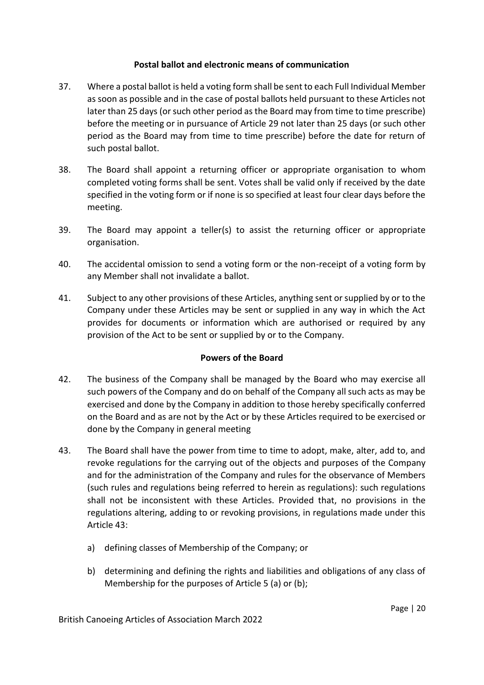# **Postal ballot and electronic means of communication**

- 37. Where a postal ballot is held a voting form shall be sent to each Full Individual Member as soon as possible and in the case of postal ballots held pursuant to these Articles not later than 25 days (or such other period as the Board may from time to time prescribe) before the meeting or in pursuance of Article 29 not later than 25 days (or such other period as the Board may from time to time prescribe) before the date for return of such postal ballot.
- 38. The Board shall appoint a returning officer or appropriate organisation to whom completed voting forms shall be sent. Votes shall be valid only if received by the date specified in the voting form or if none is so specified at least four clear days before the meeting.
- 39. The Board may appoint a teller(s) to assist the returning officer or appropriate organisation.
- 40. The accidental omission to send a voting form or the non-receipt of a voting form by any Member shall not invalidate a ballot.
- 41. Subject to any other provisions of these Articles, anything sent or supplied by or to the Company under these Articles may be sent or supplied in any way in which the Act provides for documents or information which are authorised or required by any provision of the Act to be sent or supplied by or to the Company.

### **Powers of the Board**

- 42. The business of the Company shall be managed by the Board who may exercise all such powers of the Company and do on behalf of the Company all such acts as may be exercised and done by the Company in addition to those hereby specifically conferred on the Board and as are not by the Act or by these Articles required to be exercised or done by the Company in general meeting
- 43. The Board shall have the power from time to time to adopt, make, alter, add to, and revoke regulations for the carrying out of the objects and purposes of the Company and for the administration of the Company and rules for the observance of Members (such rules and regulations being referred to herein as regulations): such regulations shall not be inconsistent with these Articles. Provided that, no provisions in the regulations altering, adding to or revoking provisions, in regulations made under this Article 43:
	- a) defining classes of Membership of the Company; or
	- b) determining and defining the rights and liabilities and obligations of any class of Membership for the purposes of Article 5 (a) or (b);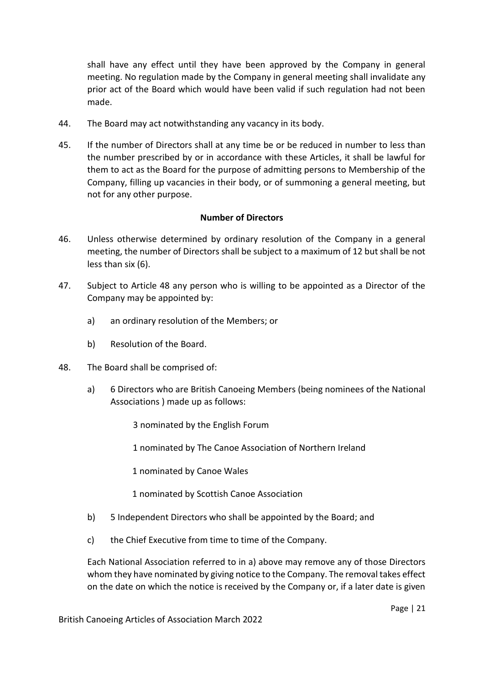shall have any effect until they have been approved by the Company in general meeting. No regulation made by the Company in general meeting shall invalidate any prior act of the Board which would have been valid if such regulation had not been made.

- 44. The Board may act notwithstanding any vacancy in its body.
- 45. If the number of Directors shall at any time be or be reduced in number to less than the number prescribed by or in accordance with these Articles, it shall be lawful for them to act as the Board for the purpose of admitting persons to Membership of the Company, filling up vacancies in their body, or of summoning a general meeting, but not for any other purpose.

### **Number of Directors**

- 46. Unless otherwise determined by ordinary resolution of the Company in a general meeting, the number of Directors shall be subject to a maximum of 12 but shall be not less than six (6).
- 47. Subject to Article 48 any person who is willing to be appointed as a Director of the Company may be appointed by:
	- a) an ordinary resolution of the Members; or
	- b) Resolution of the Board.
- 48. The Board shall be comprised of:
	- a) 6 Directors who are British Canoeing Members (being nominees of the National Associations ) made up as follows:
		- 3 nominated by the English Forum
		- 1 nominated by The Canoe Association of Northern Ireland
		- 1 nominated by Canoe Wales
		- 1 nominated by Scottish Canoe Association
	- b) 5 Independent Directors who shall be appointed by the Board; and
	- c) the Chief Executive from time to time of the Company.

Each National Association referred to in a) above may remove any of those Directors whom they have nominated by giving notice to the Company. The removal takes effect on the date on which the notice is received by the Company or, if a later date is given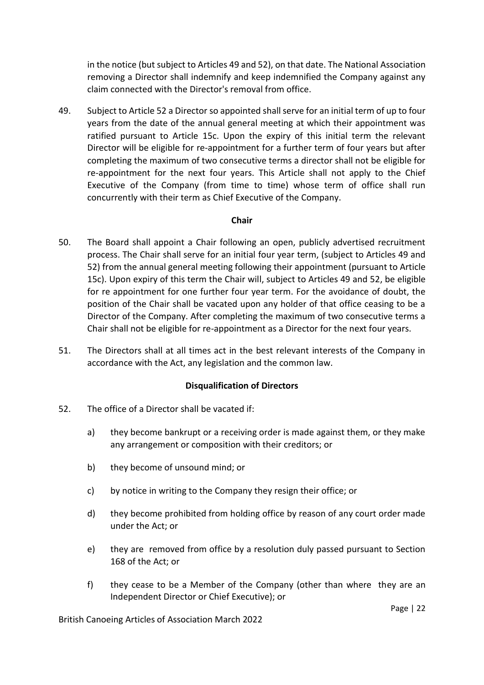in the notice (but subject to Articles 49 and 52), on that date. The National Association removing a Director shall indemnify and keep indemnified the Company against any claim connected with the Director's removal from office.

49. Subject to Article 52 a Director so appointed shall serve for an initial term of up to four years from the date of the annual general meeting at which their appointment was ratified pursuant to Article 15c. Upon the expiry of this initial term the relevant Director will be eligible for re-appointment for a further term of four years but after completing the maximum of two consecutive terms a director shall not be eligible for re-appointment for the next four years. This Article shall not apply to the Chief Executive of the Company (from time to time) whose term of office shall run concurrently with their term as Chief Executive of the Company.

### **Chair**

- 50. The Board shall appoint a Chair following an open, publicly advertised recruitment process. The Chair shall serve for an initial four year term, (subject to Articles 49 and 52) from the annual general meeting following their appointment (pursuant to Article 15c). Upon expiry of this term the Chair will, subject to Articles 49 and 52, be eligible for re appointment for one further four year term. For the avoidance of doubt, the position of the Chair shall be vacated upon any holder of that office ceasing to be a Director of the Company. After completing the maximum of two consecutive terms a Chair shall not be eligible for re-appointment as a Director for the next four years.
- 51. The Directors shall at all times act in the best relevant interests of the Company in accordance with the Act, any legislation and the common law.

### **Disqualification of Directors**

- 52. The office of a Director shall be vacated if:
	- a) they become bankrupt or a receiving order is made against them, or they make any arrangement or composition with their creditors; or
	- b) they become of unsound mind; or
	- c) by notice in writing to the Company they resign their office; or
	- d) they become prohibited from holding office by reason of any court order made under the Act; or
	- e) they are removed from office by a resolution duly passed pursuant to Section 168 of the Act; or
	- f) they cease to be a Member of the Company (other than where they are an Independent Director or Chief Executive); or

British Canoeing Articles of Association March 2022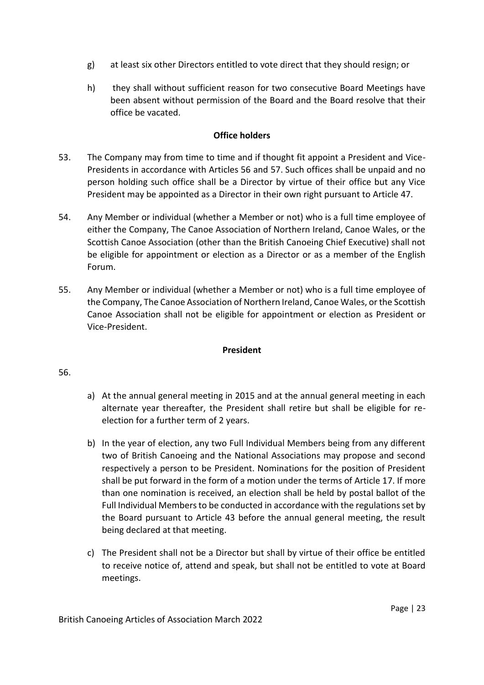- g) at least six other Directors entitled to vote direct that they should resign; or
- h) they shall without sufficient reason for two consecutive Board Meetings have been absent without permission of the Board and the Board resolve that their office be vacated.

### **Office holders**

- 53. The Company may from time to time and if thought fit appoint a President and Vice-Presidents in accordance with Articles 56 and 57. Such offices shall be unpaid and no person holding such office shall be a Director by virtue of their office but any Vice President may be appointed as a Director in their own right pursuant to Article 47.
- 54. Any Member or individual (whether a Member or not) who is a full time employee of either the Company, The Canoe Association of Northern Ireland, Canoe Wales, or the Scottish Canoe Association (other than the British Canoeing Chief Executive) shall not be eligible for appointment or election as a Director or as a member of the English Forum.
- 55. Any Member or individual (whether a Member or not) who is a full time employee of the Company, The Canoe Association of Northern Ireland, Canoe Wales, or the Scottish Canoe Association shall not be eligible for appointment or election as President or Vice-President.

# **President**

# 56.

- a) At the annual general meeting in 2015 and at the annual general meeting in each alternate year thereafter, the President shall retire but shall be eligible for reelection for a further term of 2 years.
- b) In the year of election, any two Full Individual Members being from any different two of British Canoeing and the National Associations may propose and second respectively a person to be President. Nominations for the position of President shall be put forward in the form of a motion under the terms of Article 17. If more than one nomination is received, an election shall be held by postal ballot of the Full Individual Members to be conducted in accordance with the regulations set by the Board pursuant to Article 43 before the annual general meeting, the result being declared at that meeting.
- c) The President shall not be a Director but shall by virtue of their office be entitled to receive notice of, attend and speak, but shall not be entitled to vote at Board meetings.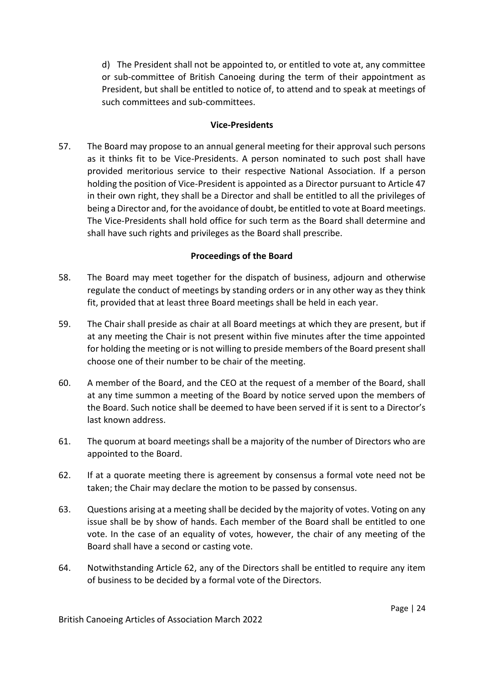d) The President shall not be appointed to, or entitled to vote at, any committee or sub-committee of British Canoeing during the term of their appointment as President, but shall be entitled to notice of, to attend and to speak at meetings of such committees and sub-committees.

### **Vice-Presidents**

57. The Board may propose to an annual general meeting for their approval such persons as it thinks fit to be Vice-Presidents. A person nominated to such post shall have provided meritorious service to their respective National Association. If a person holding the position of Vice-President is appointed as a Director pursuant to Article 47 in their own right, they shall be a Director and shall be entitled to all the privileges of being a Director and, for the avoidance of doubt, be entitled to vote at Board meetings. The Vice-Presidents shall hold office for such term as the Board shall determine and shall have such rights and privileges as the Board shall prescribe.

# **Proceedings of the Board**

- 58. The Board may meet together for the dispatch of business, adjourn and otherwise regulate the conduct of meetings by standing orders or in any other way as they think fit, provided that at least three Board meetings shall be held in each year.
- 59. The Chair shall preside as chair at all Board meetings at which they are present, but if at any meeting the Chair is not present within five minutes after the time appointed for holding the meeting or is not willing to preside members of the Board present shall choose one of their number to be chair of the meeting.
- 60. A member of the Board, and the CEO at the request of a member of the Board, shall at any time summon a meeting of the Board by notice served upon the members of the Board. Such notice shall be deemed to have been served if it is sent to a Director's last known address.
- 61. The quorum at board meetings shall be a majority of the number of Directors who are appointed to the Board.
- 62. If at a quorate meeting there is agreement by consensus a formal vote need not be taken; the Chair may declare the motion to be passed by consensus.
- 63. Questions arising at a meeting shall be decided by the majority of votes. Voting on any issue shall be by show of hands. Each member of the Board shall be entitled to one vote. In the case of an equality of votes, however, the chair of any meeting of the Board shall have a second or casting vote.
- 64. Notwithstanding Article 62, any of the Directors shall be entitled to require any item of business to be decided by a formal vote of the Directors.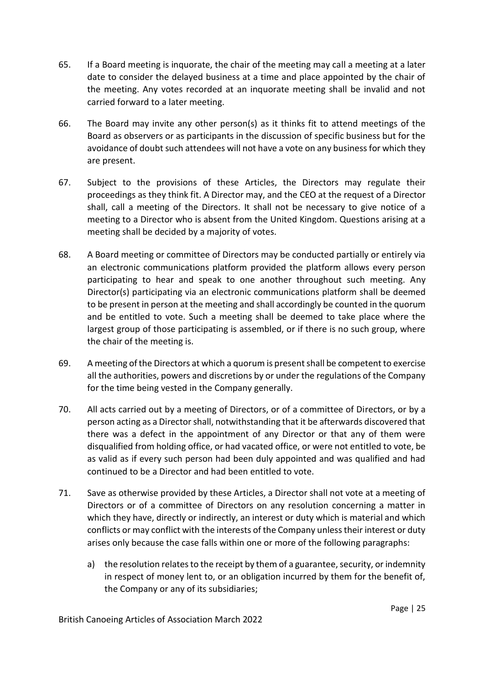- 65. If a Board meeting is inquorate, the chair of the meeting may call a meeting at a later date to consider the delayed business at a time and place appointed by the chair of the meeting. Any votes recorded at an inquorate meeting shall be invalid and not carried forward to a later meeting.
- 66. The Board may invite any other person(s) as it thinks fit to attend meetings of the Board as observers or as participants in the discussion of specific business but for the avoidance of doubt such attendees will not have a vote on any business for which they are present.
- 67. Subject to the provisions of these Articles, the Directors may regulate their proceedings as they think fit. A Director may, and the CEO at the request of a Director shall, call a meeting of the Directors. It shall not be necessary to give notice of a meeting to a Director who is absent from the United Kingdom. Questions arising at a meeting shall be decided by a majority of votes.
- 68. A Board meeting or committee of Directors may be conducted partially or entirely via an electronic communications platform provided the platform allows every person participating to hear and speak to one another throughout such meeting. Any Director(s) participating via an electronic communications platform shall be deemed to be present in person at the meeting and shall accordingly be counted in the quorum and be entitled to vote. Such a meeting shall be deemed to take place where the largest group of those participating is assembled, or if there is no such group, where the chair of the meeting is.
- 69. A meeting of the Directors at which a quorum is present shall be competent to exercise all the authorities, powers and discretions by or under the regulations of the Company for the time being vested in the Company generally.
- 70. All acts carried out by a meeting of Directors, or of a committee of Directors, or by a person acting as a Director shall, notwithstanding that it be afterwards discovered that there was a defect in the appointment of any Director or that any of them were disqualified from holding office, or had vacated office, or were not entitled to vote, be as valid as if every such person had been duly appointed and was qualified and had continued to be a Director and had been entitled to vote.
- 71. Save as otherwise provided by these Articles, a Director shall not vote at a meeting of Directors or of a committee of Directors on any resolution concerning a matter in which they have, directly or indirectly, an interest or duty which is material and which conflicts or may conflict with the interests of the Company unless their interest or duty arises only because the case falls within one or more of the following paragraphs:
	- a) the resolution relates to the receipt by them of a guarantee, security, or indemnity in respect of money lent to, or an obligation incurred by them for the benefit of, the Company or any of its subsidiaries;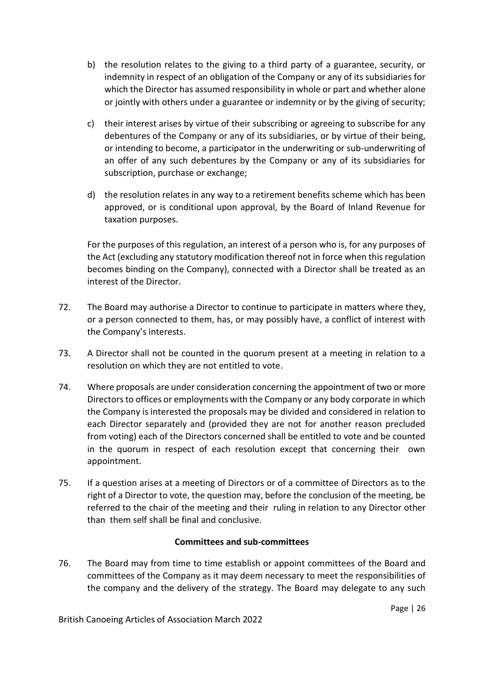- b) the resolution relates to the giving to a third party of a guarantee, security, or indemnity in respect of an obligation of the Company or any of its subsidiaries for which the Director has assumed responsibility in whole or part and whether alone or jointly with others under a guarantee or indemnity or by the giving of security;
- c) their interest arises by virtue of their subscribing or agreeing to subscribe for any debentures of the Company or any of its subsidiaries, or by virtue of their being, or intending to become, a participator in the underwriting or sub-underwriting of an offer of any such debentures by the Company or any of its subsidiaries for subscription, purchase or exchange;
- d) the resolution relates in any way to a retirement benefits scheme which has been approved, or is conditional upon approval, by the Board of Inland Revenue for taxation purposes.

For the purposes of this regulation, an interest of a person who is, for any purposes of the Act (excluding any statutory modification thereof not in force when this regulation becomes binding on the Company), connected with a Director shall be treated as an interest of the Director.

- 72. The Board may authorise a Director to continue to participate in matters where they, or a person connected to them, has, or may possibly have, a conflict of interest with the Company's interests.
- 73. A Director shall not be counted in the quorum present at a meeting in relation to a resolution on which they are not entitled to vote.
- 74. Where proposals are under consideration concerning the appointment of two or more Directors to offices or employments with the Company or any body corporate in which the Company is interested the proposals may be divided and considered in relation to each Director separately and (provided they are not for another reason precluded from voting) each of the Directors concerned shall be entitled to vote and be counted in the quorum in respect of each resolution except that concerning their own appointment.
- 75. If a question arises at a meeting of Directors or of a committee of Directors as to the right of a Director to vote, the question may, before the conclusion of the meeting, be referred to the chair of the meeting and their ruling in relation to any Director other than them self shall be final and conclusive.

# **Committees and sub-committees**

76. The Board may from time to time establish or appoint committees of the Board and committees of the Company as it may deem necessary to meet the responsibilities of the company and the delivery of the strategy. The Board may delegate to any such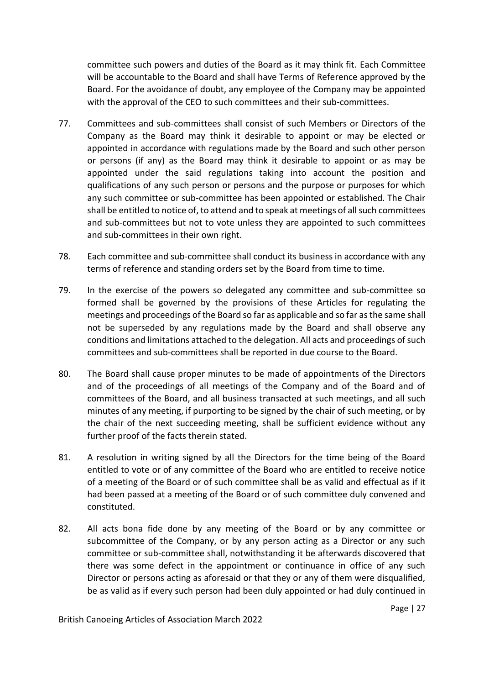committee such powers and duties of the Board as it may think fit. Each Committee will be accountable to the Board and shall have Terms of Reference approved by the Board. For the avoidance of doubt, any employee of the Company may be appointed with the approval of the CEO to such committees and their sub-committees.

- 77. Committees and sub-committees shall consist of such Members or Directors of the Company as the Board may think it desirable to appoint or may be elected or appointed in accordance with regulations made by the Board and such other person or persons (if any) as the Board may think it desirable to appoint or as may be appointed under the said regulations taking into account the position and qualifications of any such person or persons and the purpose or purposes for which any such committee or sub-committee has been appointed or established. The Chair shall be entitled to notice of, to attend and to speak at meetings of all such committees and sub-committees but not to vote unless they are appointed to such committees and sub-committees in their own right.
- 78. Each committee and sub-committee shall conduct its business in accordance with any terms of reference and standing orders set by the Board from time to time.
- 79. In the exercise of the powers so delegated any committee and sub-committee so formed shall be governed by the provisions of these Articles for regulating the meetings and proceedings of the Board so far as applicable and so far as the same shall not be superseded by any regulations made by the Board and shall observe any conditions and limitations attached to the delegation. All acts and proceedings of such committees and sub-committees shall be reported in due course to the Board.
- 80. The Board shall cause proper minutes to be made of appointments of the Directors and of the proceedings of all meetings of the Company and of the Board and of committees of the Board, and all business transacted at such meetings, and all such minutes of any meeting, if purporting to be signed by the chair of such meeting, or by the chair of the next succeeding meeting, shall be sufficient evidence without any further proof of the facts therein stated.
- 81. A resolution in writing signed by all the Directors for the time being of the Board entitled to vote or of any committee of the Board who are entitled to receive notice of a meeting of the Board or of such committee shall be as valid and effectual as if it had been passed at a meeting of the Board or of such committee duly convened and constituted.
- 82. All acts bona fide done by any meeting of the Board or by any committee or subcommittee of the Company, or by any person acting as a Director or any such committee or sub-committee shall, notwithstanding it be afterwards discovered that there was some defect in the appointment or continuance in office of any such Director or persons acting as aforesaid or that they or any of them were disqualified, be as valid as if every such person had been duly appointed or had duly continued in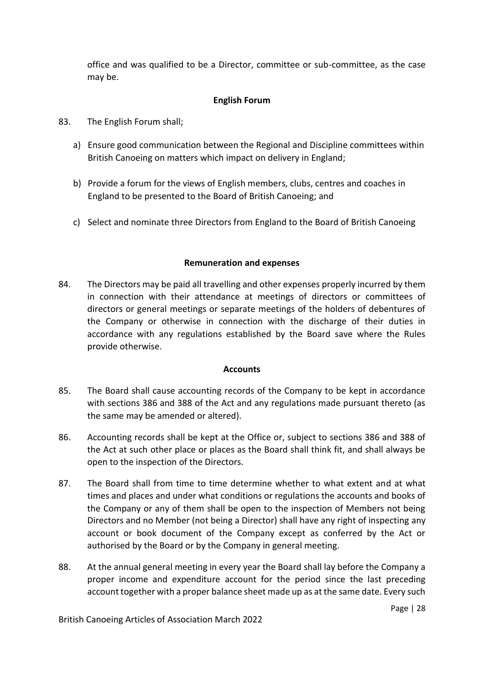office and was qualified to be a Director, committee or sub-committee, as the case may be.

# **English Forum**

- 83. The English Forum shall;
	- a) Ensure good communication between the Regional and Discipline committees within British Canoeing on matters which impact on delivery in England;
	- b) Provide a forum for the views of English members, clubs, centres and coaches in England to be presented to the Board of British Canoeing; and
	- c) Select and nominate three Directors from England to the Board of British Canoeing

### **Remuneration and expenses**

84. The Directors may be paid all travelling and other expenses properly incurred by them in connection with their attendance at meetings of directors or committees of directors or general meetings or separate meetings of the holders of debentures of the Company or otherwise in connection with the discharge of their duties in accordance with any regulations established by the Board save where the Rules provide otherwise.

### **Accounts**

- 85. The Board shall cause accounting records of the Company to be kept in accordance with sections 386 and 388 of the Act and any regulations made pursuant thereto (as the same may be amended or altered).
- 86. Accounting records shall be kept at the Office or, subject to sections 386 and 388 of the Act at such other place or places as the Board shall think fit, and shall always be open to the inspection of the Directors.
- 87. The Board shall from time to time determine whether to what extent and at what times and places and under what conditions or regulations the accounts and books of the Company or any of them shall be open to the inspection of Members not being Directors and no Member (not being a Director) shall have any right of inspecting any account or book document of the Company except as conferred by the Act or authorised by the Board or by the Company in general meeting.
- 88. At the annual general meeting in every year the Board shall lay before the Company a proper income and expenditure account for the period since the last preceding account together with a proper balance sheet made up as at the same date. Every such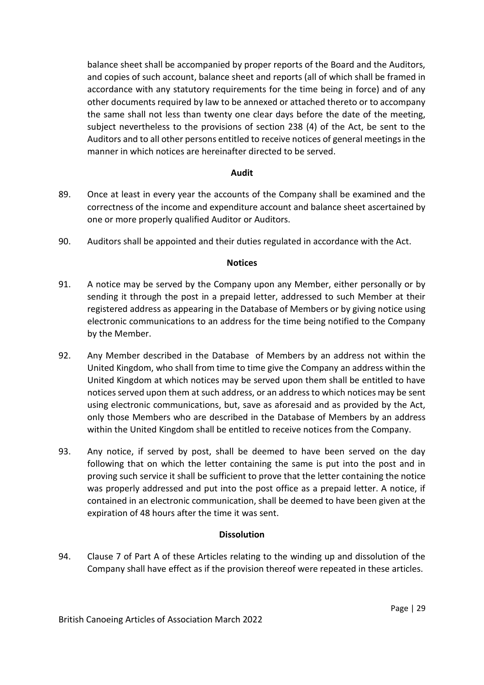balance sheet shall be accompanied by proper reports of the Board and the Auditors, and copies of such account, balance sheet and reports (all of which shall be framed in accordance with any statutory requirements for the time being in force) and of any other documents required by law to be annexed or attached thereto or to accompany the same shall not less than twenty one clear days before the date of the meeting, subject nevertheless to the provisions of section 238 (4) of the Act, be sent to the Auditors and to all other persons entitled to receive notices of general meetings in the manner in which notices are hereinafter directed to be served.

### **Audit**

- 89. Once at least in every year the accounts of the Company shall be examined and the correctness of the income and expenditure account and balance sheet ascertained by one or more properly qualified Auditor or Auditors.
- 90. Auditors shall be appointed and their duties regulated in accordance with the Act.

#### **Notices**

- 91. A notice may be served by the Company upon any Member, either personally or by sending it through the post in a prepaid letter, addressed to such Member at their registered address as appearing in the Database of Members or by giving notice using electronic communications to an address for the time being notified to the Company by the Member.
- 92. Any Member described in the Database of Members by an address not within the United Kingdom, who shall from time to time give the Company an address within the United Kingdom at which notices may be served upon them shall be entitled to have notices served upon them at such address, or an address to which notices may be sent using electronic communications, but, save as aforesaid and as provided by the Act, only those Members who are described in the Database of Members by an address within the United Kingdom shall be entitled to receive notices from the Company.
- 93. Any notice, if served by post, shall be deemed to have been served on the day following that on which the letter containing the same is put into the post and in proving such service it shall be sufficient to prove that the letter containing the notice was properly addressed and put into the post office as a prepaid letter. A notice, if contained in an electronic communication, shall be deemed to have been given at the expiration of 48 hours after the time it was sent.

### **Dissolution**

94. Clause 7 of Part A of these Articles relating to the winding up and dissolution of the Company shall have effect as if the provision thereof were repeated in these articles.